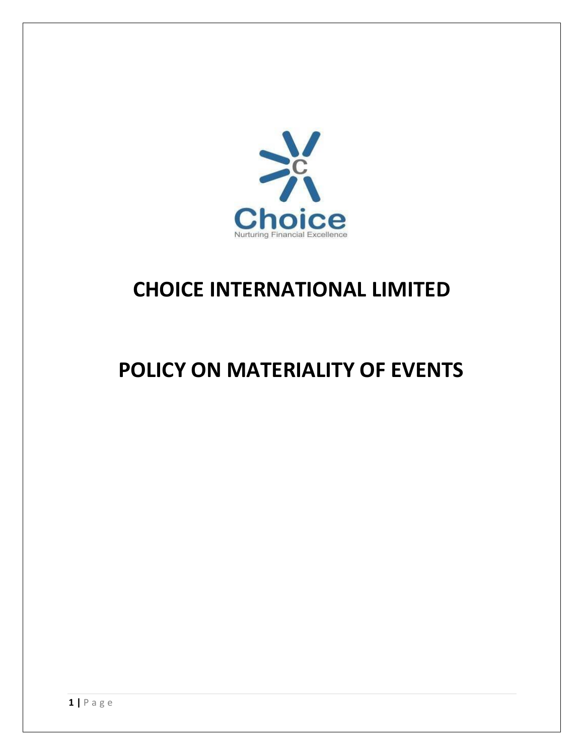

## **CHOICE INTERNATIONAL LIMITED**

# **POLICY ON MATERIALITY OF EVENTS**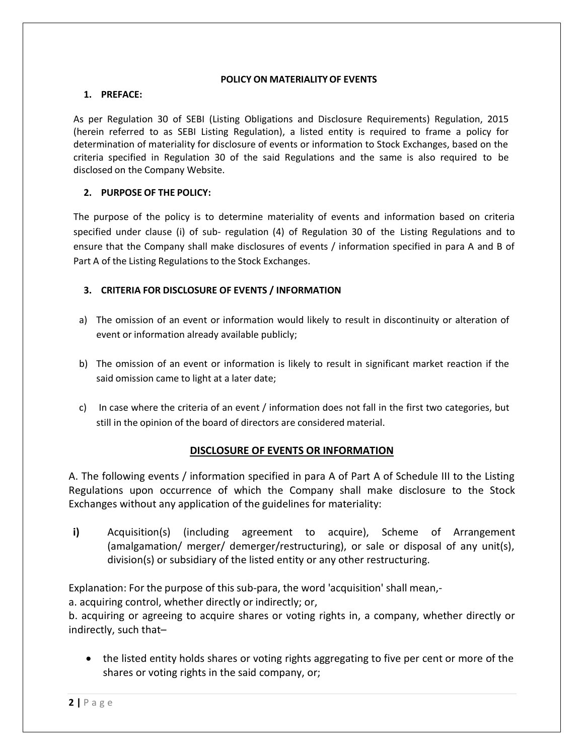#### **POLICY ON MATERIALITY OF EVENTS**

#### **1. PREFACE:**

As per Regulation 30 of SEBI (Listing Obligations and Disclosure Requirements) Regulation, 2015 (herein referred to as SEBI Listing Regulation), a listed entity is required to frame a policy for determination of materiality for disclosure of events or information to Stock Exchanges, based on the criteria specified in Regulation 30 of the said Regulations and the same is also required to be disclosed on the Company Website.

#### **2. PURPOSE OF THE POLICY:**

The purpose of the policy is to determine materiality of events and information based on criteria specified under clause (i) of sub- regulation (4) of Regulation 30 of the Listing Regulations and to ensure that the Company shall make disclosures of events / information specified in para A and B of Part A of the Listing Regulations to the Stock Exchanges.

#### **3. CRITERIA FOR DISCLOSURE OF EVENTS / INFORMATION**

- a) The omission of an event or information would likely to result in discontinuity or alteration of event or information already available publicly;
- b) The omission of an event or information is likely to result in significant market reaction if the said omission came to light at a later date;
- c) In case where the criteria of an event / information does not fall in the first two categories, but still in the opinion of the board of directors are considered material.

## **DISCLOSURE OF EVENTS OR INFORMATION**

A. The following events / information specified in para A of Part A of Schedule III to the Listing Regulations upon occurrence of which the Company shall make disclosure to the Stock Exchanges without any application of the guidelines for materiality:

**i)** Acquisition(s) (including agreement to acquire), Scheme of Arrangement (amalgamation/ merger/ demerger/restructuring), or sale or disposal of any unit(s), division(s) or subsidiary of the listed entity or any other restructuring.

Explanation: For the purpose of this sub-para, the word 'acquisition' shall mean,-

a. acquiring control, whether directly or indirectly; or,

b. acquiring or agreeing to acquire shares or voting rights in, a company, whether directly or indirectly, such that–

• the listed entity holds shares or voting rights aggregating to five per cent or more of the shares or voting rights in the said company, or;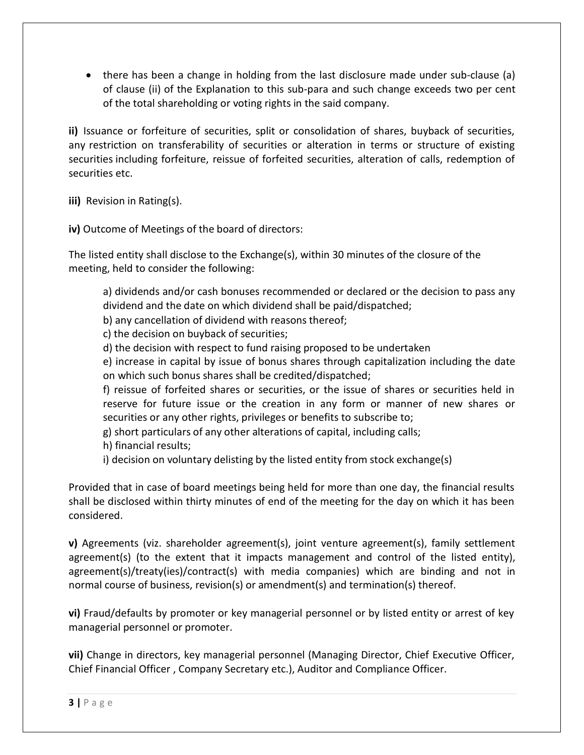there has been a change in holding from the last disclosure made under sub-clause (a) of clause (ii) of the Explanation to this sub-para and such change exceeds two per cent of the total shareholding or voting rights in the said company.

**ii)** Issuance or forfeiture of securities, split or consolidation of shares, buyback of securities, any restriction on transferability of securities or alteration in terms or structure of existing securities including forfeiture, reissue of forfeited securities, alteration of calls, redemption of securities etc.

**iii)** Revision in Rating(s).

**iv)** Outcome of Meetings of the board of directors:

The listed entity shall disclose to the Exchange(s), within 30 minutes of the closure of the meeting, held to consider the following:

a) dividends and/or cash bonuses recommended or declared or the decision to pass any dividend and the date on which dividend shall be paid/dispatched;

b) any cancellation of dividend with reasons thereof;

c) the decision on buyback of securities;

d) the decision with respect to fund raising proposed to be undertaken

e) increase in capital by issue of bonus shares through capitalization including the date on which such bonus shares shall be credited/dispatched;

f) reissue of forfeited shares or securities, or the issue of shares or securities held in reserve for future issue or the creation in any form or manner of new shares or securities or any other rights, privileges or benefits to subscribe to;

g) short particulars of any other alterations of capital, including calls;

h) financial results;

i) decision on voluntary delisting by the listed entity from stock exchange(s)

Provided that in case of board meetings being held for more than one day, the financial results shall be disclosed within thirty minutes of end of the meeting for the day on which it has been considered.

**v)** Agreements (viz. shareholder agreement(s), joint venture agreement(s), family settlement agreement(s) (to the extent that it impacts management and control of the listed entity), agreement(s)/treaty(ies)/contract(s) with media companies) which are binding and not in normal course of business, revision(s) or amendment(s) and termination(s) thereof.

**vi)** Fraud/defaults by promoter or key managerial personnel or by listed entity or arrest of key managerial personnel or promoter.

**vii)** Change in directors, key managerial personnel (Managing Director, Chief Executive Officer, Chief Financial Officer , Company Secretary etc.), Auditor and Compliance Officer.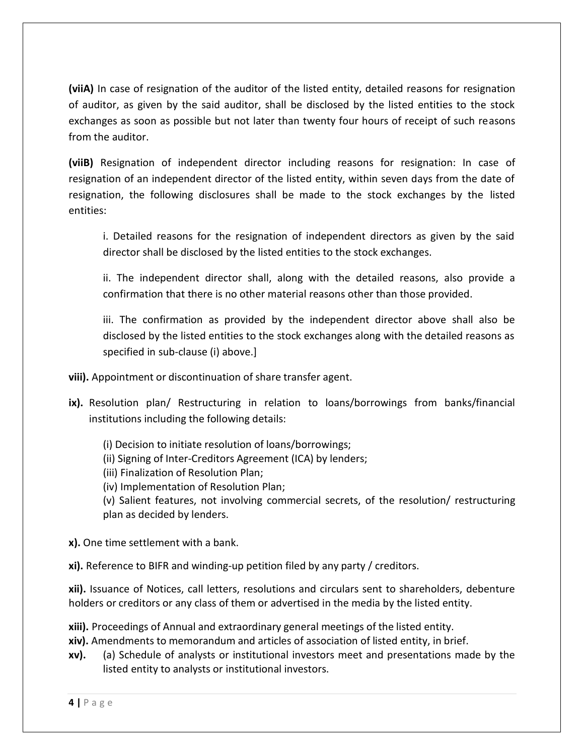**(viiA)** In case of resignation of the auditor of the listed entity, detailed reasons for resignation of auditor, as given by the said auditor, shall be disclosed by the listed entities to the stock exchanges as soon as possible but not later than twenty four hours of receipt of such reasons from the auditor.

**(viiB)** Resignation of independent director including reasons for resignation: In case of resignation of an independent director of the listed entity, within seven days from the date of resignation, the following disclosures shall be made to the stock exchanges by the listed entities:

i. Detailed reasons for the resignation of independent directors as given by the said director shall be disclosed by the listed entities to the stock exchanges.

ii. The independent director shall, along with the detailed reasons, also provide a confirmation that there is no other material reasons other than those provided.

iii. The confirmation as provided by the independent director above shall also be disclosed by the listed entities to the stock exchanges along with the detailed reasons as specified in sub-clause (i) above.]

**viii).** Appointment or discontinuation of share transfer agent.

- **ix).** Resolution plan/ Restructuring in relation to loans/borrowings from banks/financial institutions including the following details:
	- (i) Decision to initiate resolution of loans/borrowings;
	- (ii) Signing of Inter-Creditors Agreement (ICA) by lenders;
	- (iii) Finalization of Resolution Plan;
	- (iv) Implementation of Resolution Plan;

(v) Salient features, not involving commercial secrets, of the resolution/ restructuring plan as decided by lenders.

**x).** One time settlement with a bank.

**xi).** Reference to BIFR and winding-up petition filed by any party / creditors.

**xii).** Issuance of Notices, call letters, resolutions and circulars sent to shareholders, debenture holders or creditors or any class of them or advertised in the media by the listed entity.

**xiii).** Proceedings of Annual and extraordinary general meetings of the listed entity.

**xiv).** Amendments to memorandum and articles of association of listed entity, in brief.

**xv).** (a) Schedule of analysts or institutional investors meet and presentations made by the listed entity to analysts or institutional investors.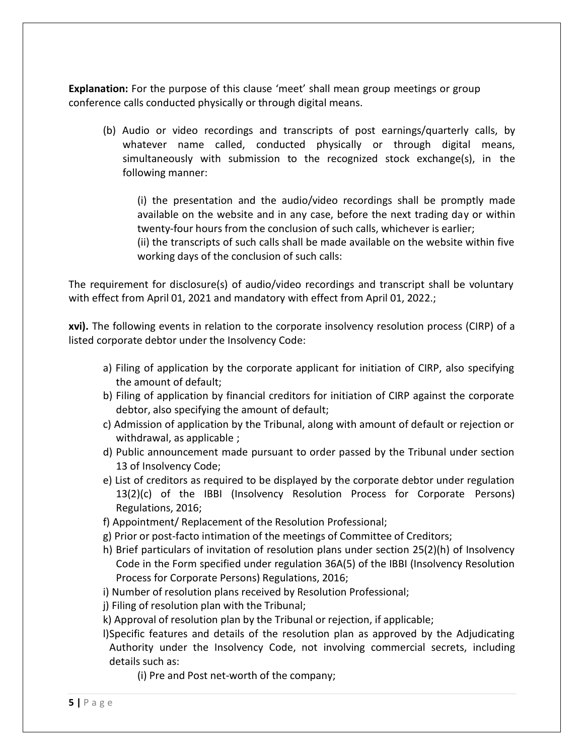**Explanation:** For the purpose of this clause 'meet' shall mean group meetings or group conference calls conducted physically or through digital means.

(b) Audio or video recordings and transcripts of post earnings/quarterly calls, by whatever name called, conducted physically or through digital means, simultaneously with submission to the recognized stock exchange(s), in the following manner:

(i) the presentation and the audio/video recordings shall be promptly made available on the website and in any case, before the next trading day or within twenty-four hours from the conclusion of such calls, whichever is earlier; (ii) the transcripts of such calls shall be made available on the website within five

working days of the conclusion of such calls:

The requirement for disclosure(s) of audio/video recordings and transcript shall be voluntary with effect from April 01, 2021 and mandatory with effect from April 01, 2022.;

**xvi).** The following events in relation to the corporate insolvency resolution process (CIRP) of a listed corporate debtor under the Insolvency Code:

- a) Filing of application by the corporate applicant for initiation of CIRP, also specifying the amount of default;
- b) Filing of application by financial creditors for initiation of CIRP against the corporate debtor, also specifying the amount of default;
- c) Admission of application by the Tribunal, along with amount of default or rejection or withdrawal, as applicable ;
- d) Public announcement made pursuant to order passed by the Tribunal under section 13 of Insolvency Code;
- e) List of creditors as required to be displayed by the corporate debtor under regulation 13(2)(c) of the IBBI (Insolvency Resolution Process for Corporate Persons) Regulations, 2016;
- f) Appointment/ Replacement of the Resolution Professional;
- g) Prior or post-facto intimation of the meetings of Committee of Creditors;
- h) Brief particulars of invitation of resolution plans under section 25(2)(h) of Insolvency Code in the Form specified under regulation 36A(5) of the IBBI (Insolvency Resolution Process for Corporate Persons) Regulations, 2016;
- i) Number of resolution plans received by Resolution Professional;
- j) Filing of resolution plan with the Tribunal;
- k) Approval of resolution plan by the Tribunal or rejection, if applicable;
- l)Specific features and details of the resolution plan as approved by the Adjudicating Authority under the Insolvency Code, not involving commercial secrets, including details such as:
	- (i) Pre and Post net-worth of the company;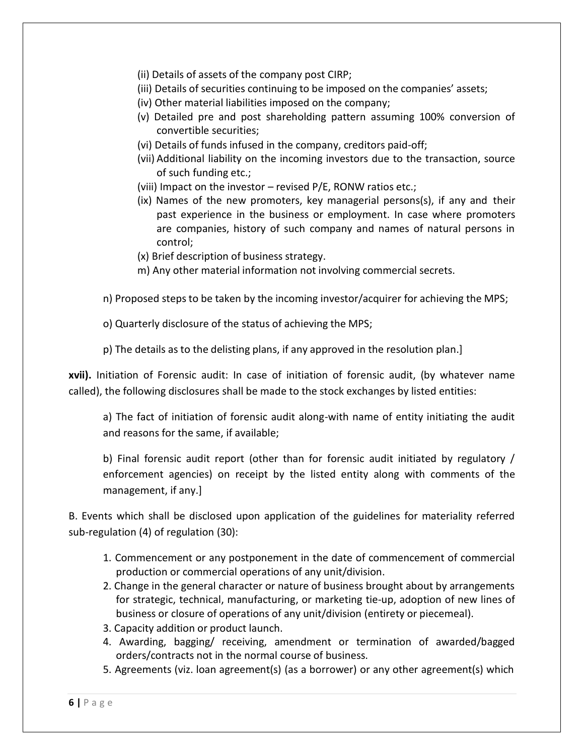(ii) Details of assets of the company post CIRP;

- (iii) Details of securities continuing to be imposed on the companies' assets;
- (iv) Other material liabilities imposed on the company;
- (v) Detailed pre and post shareholding pattern assuming 100% conversion of convertible securities;
- (vi) Details of funds infused in the company, creditors paid-off;
- (vii) Additional liability on the incoming investors due to the transaction, source of such funding etc.;
- (viii) Impact on the investor revised P/E, RONW ratios etc.;
- (ix) Names of the new promoters, key managerial persons(s), if any and their past experience in the business or employment. In case where promoters are companies, history of such company and names of natural persons in control;
- (x) Brief description of business strategy.
- m) Any other material information not involving commercial secrets.
- n) Proposed steps to be taken by the incoming investor/acquirer for achieving the MPS;
- o) Quarterly disclosure of the status of achieving the MPS;
- p) The details as to the delisting plans, if any approved in the resolution plan.]

**xvii).** Initiation of Forensic audit: In case of initiation of forensic audit, (by whatever name called), the following disclosures shall be made to the stock exchanges by listed entities:

a) The fact of initiation of forensic audit along-with name of entity initiating the audit and reasons for the same, if available;

b) Final forensic audit report (other than for forensic audit initiated by regulatory / enforcement agencies) on receipt by the listed entity along with comments of the management, if any.]

B. Events which shall be disclosed upon application of the guidelines for materiality referred sub-regulation (4) of regulation (30):

- 1. Commencement or any postponement in the date of commencement of commercial production or commercial operations of any unit/division.
- 2. Change in the general character or nature of business brought about by arrangements for strategic, technical, manufacturing, or marketing tie-up, adoption of new lines of business or closure of operations of any unit/division (entirety or piecemeal).
- 3. Capacity addition or product launch.
- 4. Awarding, bagging/ receiving, amendment or termination of awarded/bagged orders/contracts not in the normal course of business.
- 5. Agreements (viz. loan agreement(s) (as a borrower) or any other agreement(s) which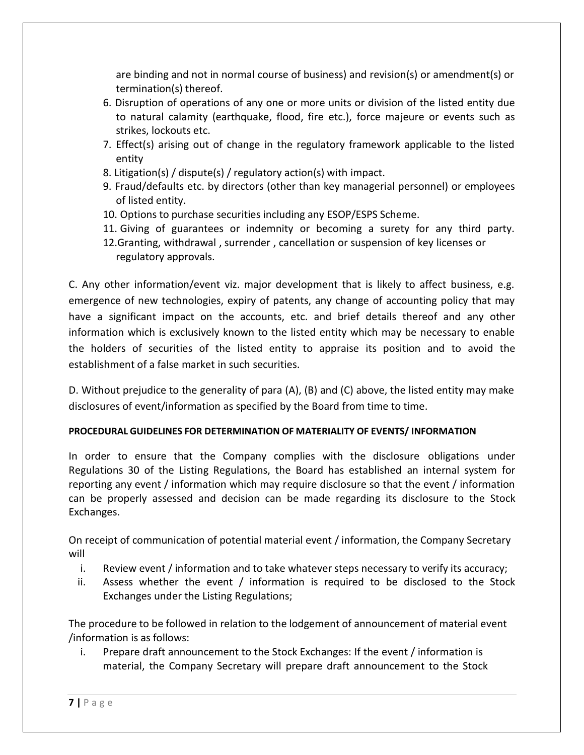are binding and not in normal course of business) and revision(s) or amendment(s) or termination(s) thereof.

- 6. Disruption of operations of any one or more units or division of the listed entity due to natural calamity (earthquake, flood, fire etc.), force majeure or events such as strikes, lockouts etc.
- 7. Effect(s) arising out of change in the regulatory framework applicable to the listed entity
- 8. Litigation(s) / dispute(s) / regulatory action(s) with impact.
- 9. Fraud/defaults etc. by directors (other than key managerial personnel) or employees of listed entity.
- 10. Options to purchase securities including any ESOP/ESPS Scheme.
- 11. Giving of guarantees or indemnity or becoming a surety for any third party.
- 12.Granting, withdrawal , surrender , cancellation or suspension of key licenses or regulatory approvals.

C. Any other information/event viz. major development that is likely to affect business, e.g. emergence of new technologies, expiry of patents, any change of accounting policy that may have a significant impact on the accounts, etc. and brief details thereof and any other information which is exclusively known to the listed entity which may be necessary to enable the holders of securities of the listed entity to appraise its position and to avoid the establishment of a false market in such securities.

D. Without prejudice to the generality of para (A), (B) and (C) above, the listed entity may make disclosures of event/information as specified by the Board from time to time.

## **PROCEDURAL GUIDELINES FOR DETERMINATION OF MATERIALITY OF EVENTS/ INFORMATION**

In order to ensure that the Company complies with the disclosure obligations under Regulations 30 of the Listing Regulations, the Board has established an internal system for reporting any event / information which may require disclosure so that the event / information can be properly assessed and decision can be made regarding its disclosure to the Stock Exchanges.

On receipt of communication of potential material event / information, the Company Secretary will

- i. Review event / information and to take whatever steps necessary to verify its accuracy;
- ii. Assess whether the event / information is required to be disclosed to the Stock Exchanges under the Listing Regulations;

The procedure to be followed in relation to the lodgement of announcement of material event /information is as follows:

i. Prepare draft announcement to the Stock Exchanges: If the event / information is material, the Company Secretary will prepare draft announcement to the Stock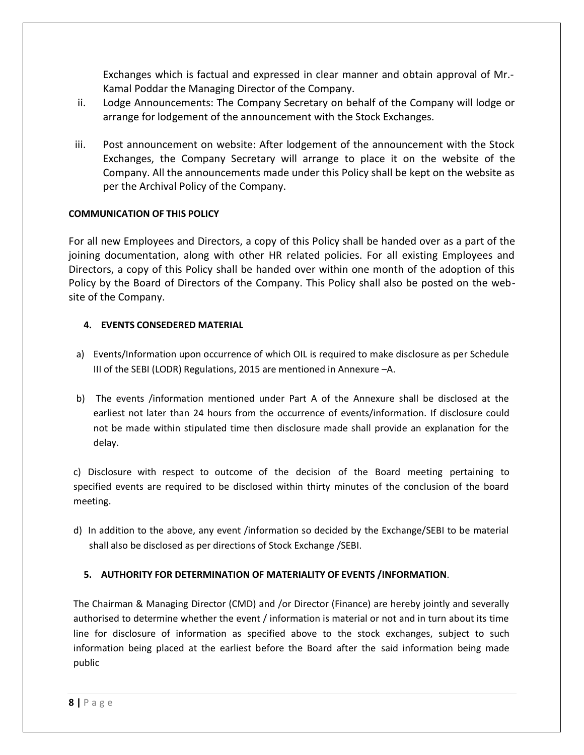Exchanges which is factual and expressed in clear manner and obtain approval of Mr.- Kamal Poddar the Managing Director of the Company.

- ii. Lodge Announcements: The Company Secretary on behalf of the Company will lodge or arrange for lodgement of the announcement with the Stock Exchanges.
- iii. Post announcement on website: After lodgement of the announcement with the Stock Exchanges, the Company Secretary will arrange to place it on the website of the Company. All the announcements made under this Policy shall be kept on the website as per the Archival Policy of the Company.

#### **COMMUNICATION OF THIS POLICY**

For all new Employees and Directors, a copy of this Policy shall be handed over as a part of the joining documentation, along with other HR related policies. For all existing Employees and Directors, a copy of this Policy shall be handed over within one month of the adoption of this Policy by the Board of Directors of the Company. This Policy shall also be posted on the website of the Company.

#### **4. EVENTS CONSEDERED MATERIAL**

- a) Events/Information upon occurrence of which OIL is required to make disclosure as per Schedule III of the SEBI (LODR) Regulations, 2015 are mentioned in Annexure –A.
- b) The events /information mentioned under Part A of the Annexure shall be disclosed at the earliest not later than 24 hours from the occurrence of events/information. If disclosure could not be made within stipulated time then disclosure made shall provide an explanation for the delay.

c) Disclosure with respect to outcome of the decision of the Board meeting pertaining to specified events are required to be disclosed within thirty minutes of the conclusion of the board meeting.

d) In addition to the above, any event /information so decided by the Exchange/SEBI to be material shall also be disclosed as per directions of Stock Exchange /SEBI.

#### **5. AUTHORITY FOR DETERMINATION OF MATERIALITY OF EVENTS /INFORMATION**.

The Chairman & Managing Director (CMD) and /or Director (Finance) are hereby jointly and severally authorised to determine whether the event / information is material or not and in turn about its time line for disclosure of information as specified above to the stock exchanges, subject to such information being placed at the earliest before the Board after the said information being made public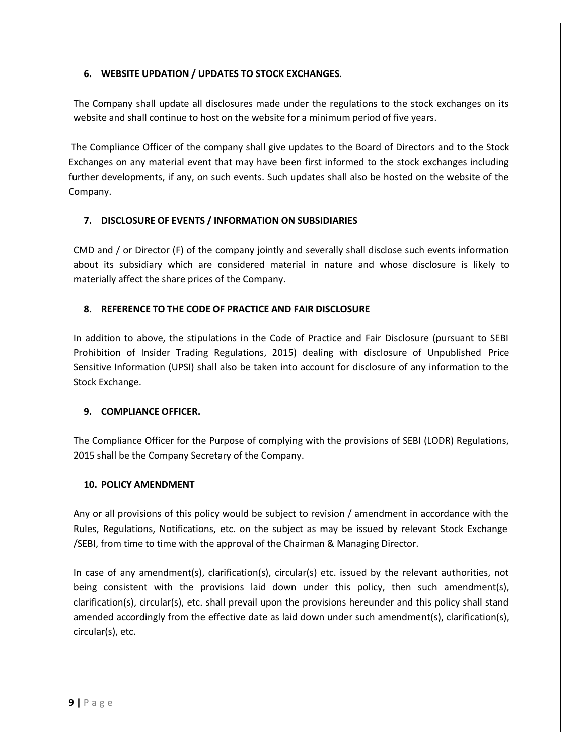#### **6. WEBSITE UPDATION / UPDATES TO STOCK EXCHANGES**.

The Company shall update all disclosures made under the regulations to the stock exchanges on its website and shall continue to host on the website for a minimum period of five years.

The Compliance Officer of the company shall give updates to the Board of Directors and to the Stock Exchanges on any material event that may have been first informed to the stock exchanges including further developments, if any, on such events. Such updates shall also be hosted on the website of the Company.

#### **7. DISCLOSURE OF EVENTS / INFORMATION ON SUBSIDIARIES**

CMD and / or Director (F) of the company jointly and severally shall disclose such events information about its subsidiary which are considered material in nature and whose disclosure is likely to materially affect the share prices of the Company.

#### **8. REFERENCE TO THE CODE OF PRACTICE AND FAIR DISCLOSURE**

In addition to above, the stipulations in the Code of Practice and Fair Disclosure (pursuant to SEBI Prohibition of Insider Trading Regulations, 2015) dealing with disclosure of Unpublished Price Sensitive Information (UPSI) shall also be taken into account for disclosure of any information to the Stock Exchange.

#### **9. COMPLIANCE OFFICER.**

The Compliance Officer for the Purpose of complying with the provisions of SEBI (LODR) Regulations, 2015 shall be the Company Secretary of the Company.

#### **10. POLICY AMENDMENT**

Any or all provisions of this policy would be subject to revision / amendment in accordance with the Rules, Regulations, Notifications, etc. on the subject as may be issued by relevant Stock Exchange /SEBI, from time to time with the approval of the Chairman & Managing Director.

In case of any amendment(s), clarification(s), circular(s) etc. issued by the relevant authorities, not being consistent with the provisions laid down under this policy, then such amendment(s), clarification(s), circular(s), etc. shall prevail upon the provisions hereunder and this policy shall stand amended accordingly from the effective date as laid down under such amendment(s), clarification(s), circular(s), etc.